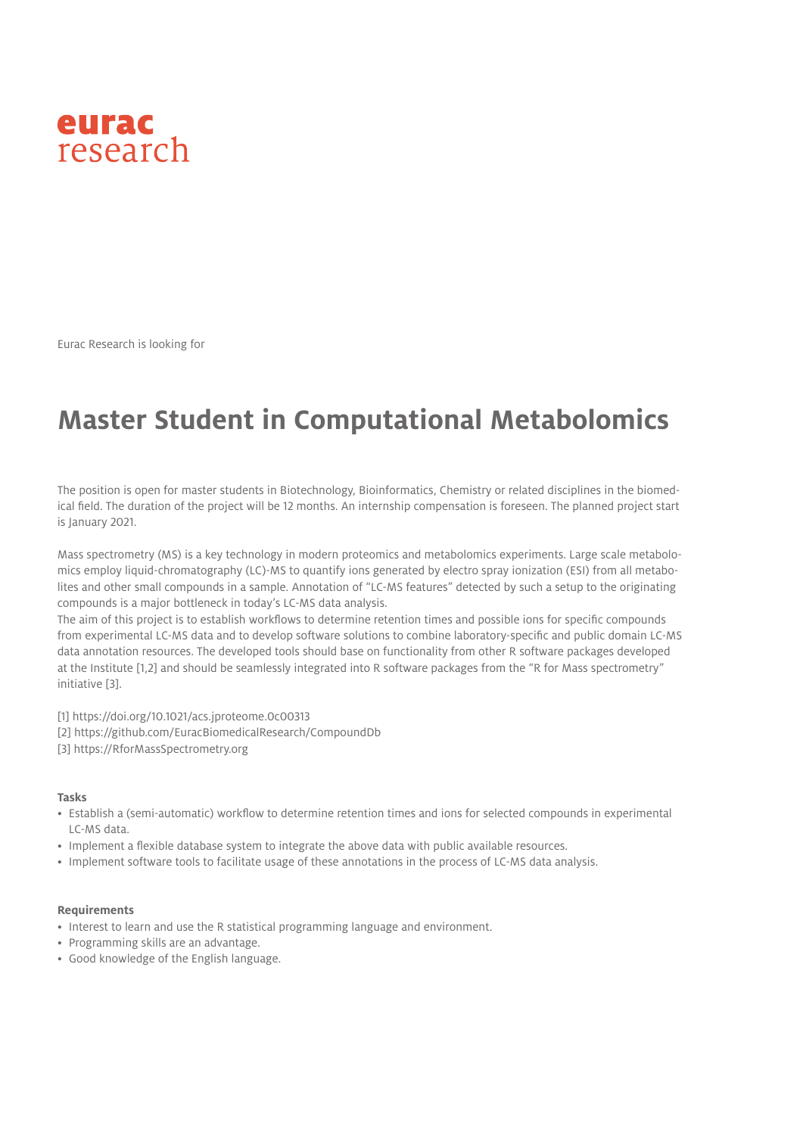

Eurac Research is looking for

## **Master Student in Computational Metabolomics**

The position is open for master students in Biotechnology, Bioinformatics, Chemistry or related disciplines in the biomedical field. The duration of the project will be 12 months. An internship compensation is foreseen. The planned project start is January 2021.

Mass spectrometry (MS) is a key technology in modern proteomics and metabolomics experiments. Large scale metabolomics employ liquid-chromatography (LC)-MS to quantify ions generated by electro spray ionization (ESI) from all metabolites and other small compounds in a sample. Annotation of "LC-MS features" detected by such a setup to the originating compounds is a major bottleneck in today's LC-MS data analysis.

The aim of this project is to establish workflows to determine retention times and possible ions for specific compounds from experimental LC-MS data and to develop software solutions to combine laboratory-specific and public domain LC-MS data annotation resources. The developed tools should base on functionality from other R software packages developed at the Institute [1,2] and should be seamlessly integrated into R software packages from the "R for Mass spectrometry" initiative [3].

- [1] https://doi.org/10.1021/acs.jproteome.0c00313
- [2] https://github.com/EuracBiomedicalResearch/CompoundDb
- [3] https://RforMassSpectrometry.org

## **Tasks**

- Establish a (semi-automatic) workflow to determine retention times and ions for selected compounds in experimental LC-MS data.
- Implement a flexible database system to integrate the above data with public available resources.
- Implement software tools to facilitate usage of these annotations in the process of LC-MS data analysis.

## **Requirements**

- Interest to learn and use the R statistical programming language and environment.
- Programming skills are an advantage.
- Good knowledge of the English language.